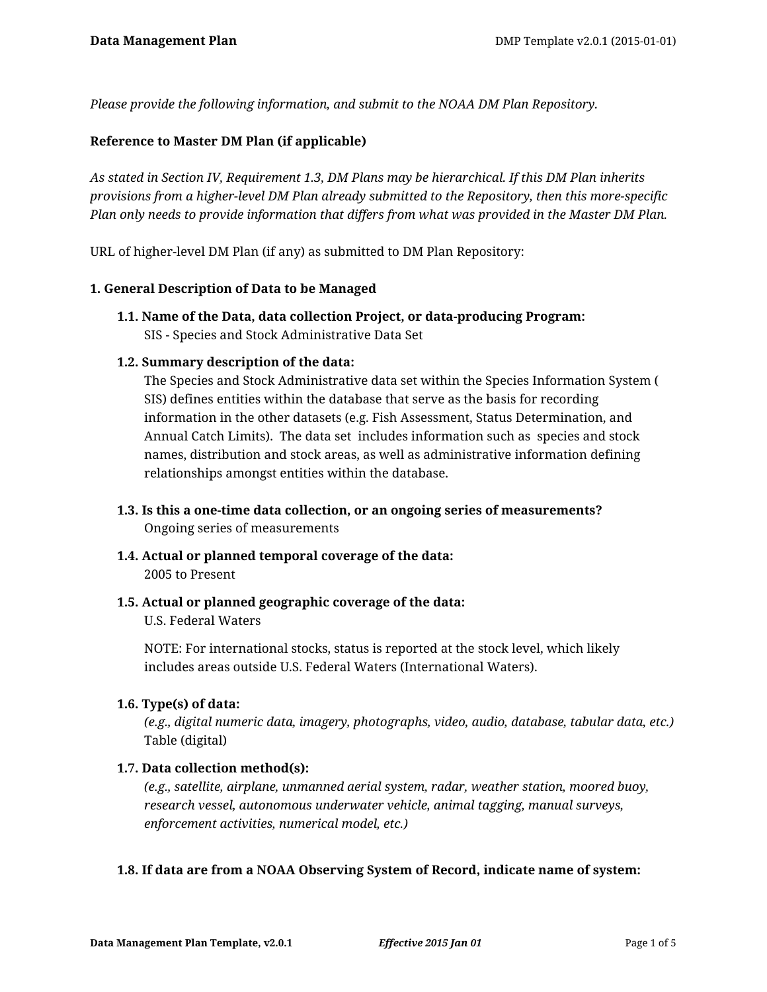*Please provide the following information, and submit to the NOAA DM Plan Repository.*

### **Reference to Master DM Plan (if applicable)**

*As stated in Section IV, Requirement 1.3, DM Plans may be hierarchical. If this DM Plan inherits provisions from a higher-level DM Plan already submitted to the Repository, then this more-specific Plan only needs to provide information that differs from what was provided in the Master DM Plan.*

URL of higher-level DM Plan (if any) as submitted to DM Plan Repository:

#### **1. General Description of Data to be Managed**

**1.1. Name of the Data, data collection Project, or data-producing Program:** SIS - Species and Stock Administrative Data Set

### **1.2. Summary description of the data:**

The Species and Stock Administrative data set within the Species Information System ( SIS) defines entities within the database that serve as the basis for recording information in the other datasets (e.g. Fish Assessment, Status Determination, and Annual Catch Limits). The data set includes information such as species and stock names, distribution and stock areas, as well as administrative information defining relationships amongst entities within the database.

- **1.3. Is this a one-time data collection, or an ongoing series of measurements?** Ongoing series of measurements
- **1.4. Actual or planned temporal coverage of the data:** 2005 to Present
- **1.5. Actual or planned geographic coverage of the data:**

U.S. Federal Waters

NOTE: For international stocks, status is reported at the stock level, which likely includes areas outside U.S. Federal Waters (International Waters).

#### **1.6. Type(s) of data:**

*(e.g., digital numeric data, imagery, photographs, video, audio, database, tabular data, etc.)* Table (digital)

## **1.7. Data collection method(s):**

*(e.g., satellite, airplane, unmanned aerial system, radar, weather station, moored buoy, research vessel, autonomous underwater vehicle, animal tagging, manual surveys, enforcement activities, numerical model, etc.)*

#### **1.8. If data are from a NOAA Observing System of Record, indicate name of system:**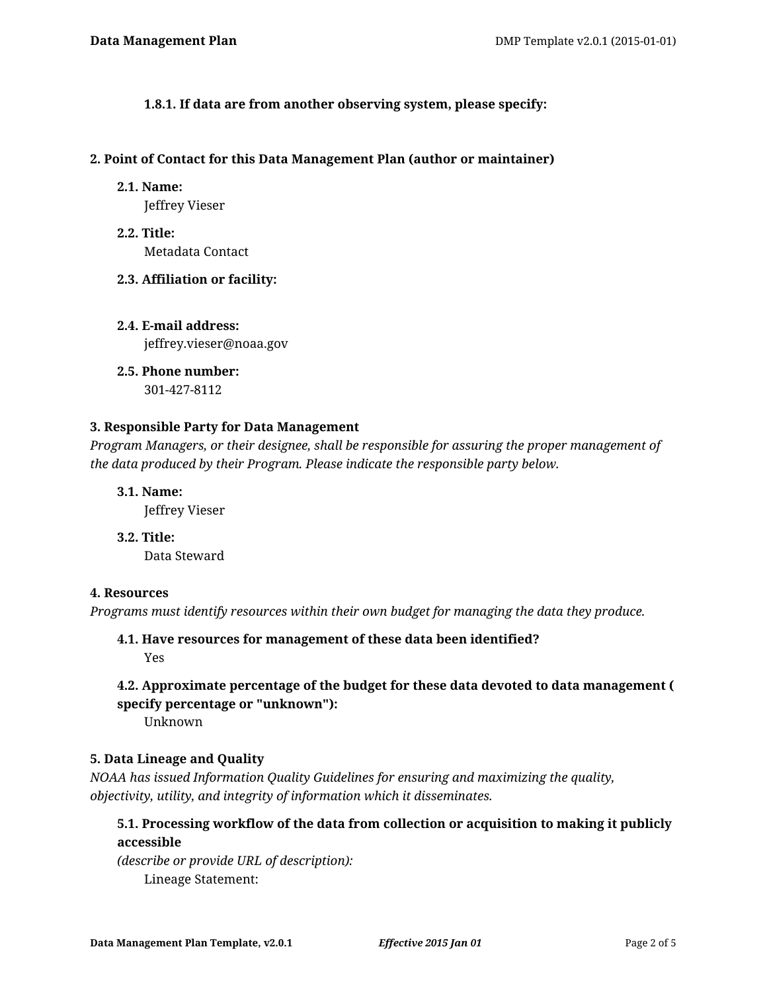**1.8.1. If data are from another observing system, please specify:**

### **2. Point of Contact for this Data Management Plan (author or maintainer)**

**2.1. Name:**

Jeffrey Vieser

- **2.2. Title:** Metadata Contact
- **2.3. Affiliation or facility:**
- **2.4. E-mail address:** jeffrey.vieser@noaa.gov
- **2.5. Phone number:** 301-427-8112

## **3. Responsible Party for Data Management**

*Program Managers, or their designee, shall be responsible for assuring the proper management of the data produced by their Program. Please indicate the responsible party below.*

**3.1. Name:**

Jeffrey Vieser

**3.2. Title:**

Data Steward

## **4. Resources**

*Programs must identify resources within their own budget for managing the data they produce.*

# **4.1. Have resources for management of these data been identified?**

Yes

## **4.2. Approximate percentage of the budget for these data devoted to data management ( specify percentage or "unknown"):**

Unknown

## **5. Data Lineage and Quality**

*NOAA has issued Information Quality Guidelines for ensuring and maximizing the quality, objectivity, utility, and integrity of information which it disseminates.*

## **5.1. Processing workflow of the data from collection or acquisition to making it publicly accessible**

*(describe or provide URL of description):* Lineage Statement: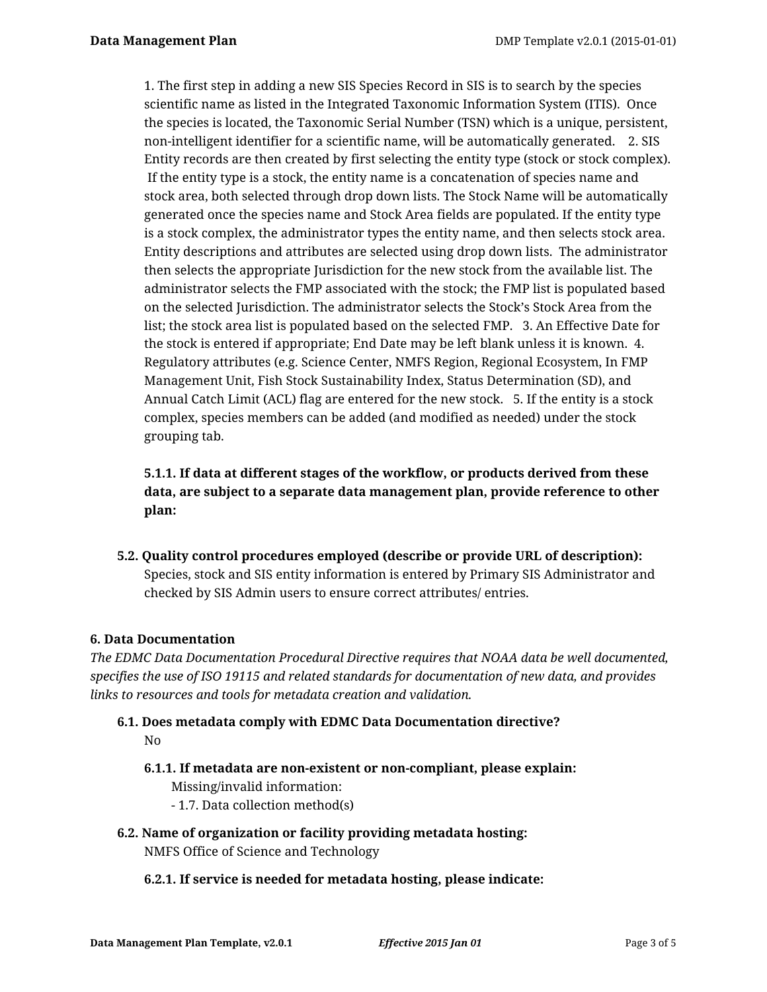1. The first step in adding a new SIS Species Record in SIS is to search by the species scientific name as listed in the Integrated Taxonomic Information System (ITIS). Once the species is located, the Taxonomic Serial Number (TSN) which is a unique, persistent, non-intelligent identifier for a scientific name, will be automatically generated. 2. SIS Entity records are then created by first selecting the entity type (stock or stock complex). If the entity type is a stock, the entity name is a concatenation of species name and stock area, both selected through drop down lists. The Stock Name will be automatically generated once the species name and Stock Area fields are populated. If the entity type is a stock complex, the administrator types the entity name, and then selects stock area. Entity descriptions and attributes are selected using drop down lists. The administrator then selects the appropriate Jurisdiction for the new stock from the available list. The administrator selects the FMP associated with the stock; the FMP list is populated based on the selected Jurisdiction. The administrator selects the Stock's Stock Area from the list; the stock area list is populated based on the selected FMP. 3. An Effective Date for the stock is entered if appropriate; End Date may be left blank unless it is known. 4. Regulatory attributes (e.g. Science Center, NMFS Region, Regional Ecosystem, In FMP Management Unit, Fish Stock Sustainability Index, Status Determination (SD), and Annual Catch Limit (ACL) flag are entered for the new stock. 5. If the entity is a stock complex, species members can be added (and modified as needed) under the stock grouping tab.

# **5.1.1. If data at different stages of the workflow, or products derived from these data, are subject to a separate data management plan, provide reference to other plan:**

**5.2. Quality control procedures employed (describe or provide URL of description):** Species, stock and SIS entity information is entered by Primary SIS Administrator and checked by SIS Admin users to ensure correct attributes/ entries.

## **6. Data Documentation**

*The EDMC Data Documentation Procedural Directive requires that NOAA data be well documented, specifies the use of ISO 19115 and related standards for documentation of new data, and provides links to resources and tools for metadata creation and validation.*

- **6.1. Does metadata comply with EDMC Data Documentation directive?** No
	- **6.1.1. If metadata are non-existent or non-compliant, please explain:** Missing/invalid information:
		- 1.7. Data collection method(s)
- **6.2. Name of organization or facility providing metadata hosting:** NMFS Office of Science and Technology

## **6.2.1. If service is needed for metadata hosting, please indicate:**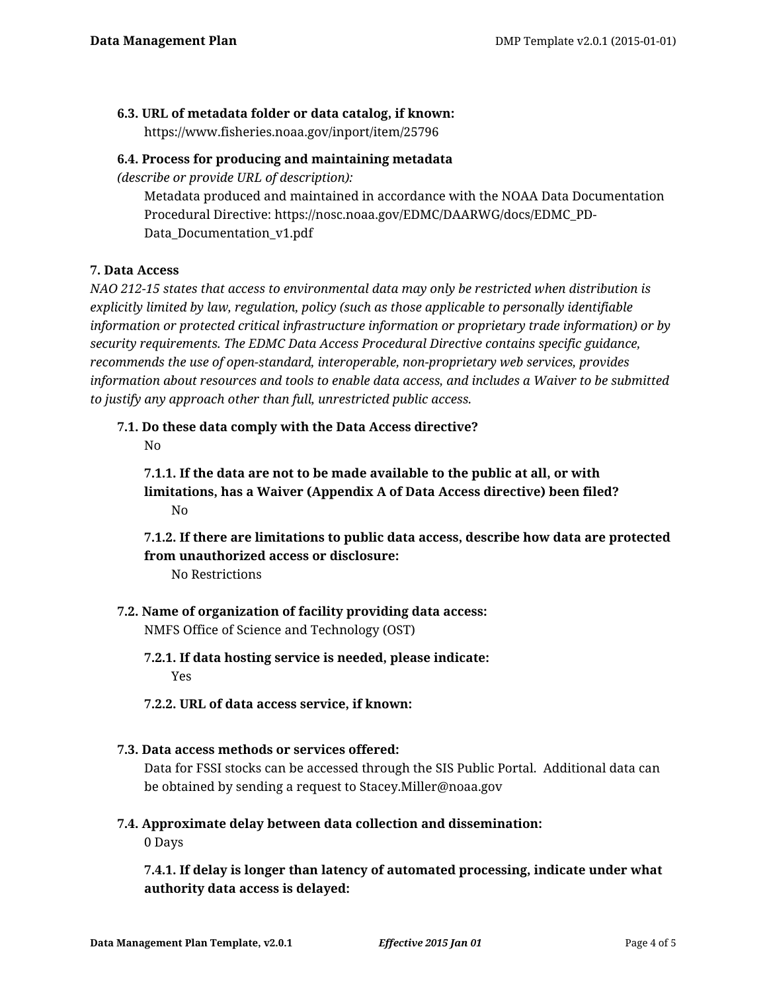## **6.3. URL of metadata folder or data catalog, if known:**

https://www.fisheries.noaa.gov/inport/item/25796

### **6.4. Process for producing and maintaining metadata**

*(describe or provide URL of description):*

Metadata produced and maintained in accordance with the NOAA Data Documentation Procedural Directive: https://nosc.noaa.gov/EDMC/DAARWG/docs/EDMC\_PD-Data\_Documentation\_v1.pdf

## **7. Data Access**

*NAO 212-15 states that access to environmental data may only be restricted when distribution is explicitly limited by law, regulation, policy (such as those applicable to personally identifiable information or protected critical infrastructure information or proprietary trade information) or by security requirements. The EDMC Data Access Procedural Directive contains specific guidance, recommends the use of open-standard, interoperable, non-proprietary web services, provides information about resources and tools to enable data access, and includes a Waiver to be submitted to justify any approach other than full, unrestricted public access.*

# **7.1. Do these data comply with the Data Access directive?**

No

**7.1.1. If the data are not to be made available to the public at all, or with limitations, has a Waiver (Appendix A of Data Access directive) been filed?** No

**7.1.2. If there are limitations to public data access, describe how data are protected from unauthorized access or disclosure:**

No Restrictions

- **7.2. Name of organization of facility providing data access:** NMFS Office of Science and Technology (OST)
	- **7.2.1. If data hosting service is needed, please indicate:** Yes
	- **7.2.2. URL of data access service, if known:**
- **7.3. Data access methods or services offered:**

Data for FSSI stocks can be accessed through the SIS Public Portal. Additional data can be obtained by sending a request to Stacey.Miller@noaa.gov

**7.4. Approximate delay between data collection and dissemination:**

0 Days

**7.4.1. If delay is longer than latency of automated processing, indicate under what authority data access is delayed:**